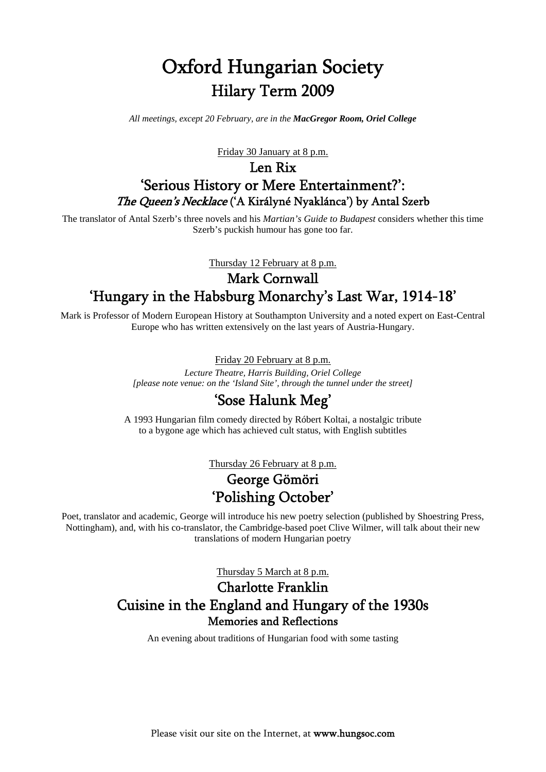# Oxford Hungarian Society Hilary Term 2009

*All meetings, except 20 February, are in the MacGregor Room, Oriel College*

Friday 30 January at 8 p.m.

## Len Rix 'Serious History or Mere Entertainment?': The Queen's Necklace ('A Királyné Nyaklánca') by Antal Szerb

The translator of Antal Szerb's three novels and his *Martian's Guide to Budapest* considers whether this time Szerb's puckish humour has gone too far.

Thursday 12 February at 8 p.m.

# Mark Cornwall 'Hungary in the Habsburg Monarchy's Last War, 1914-18'

Mark is Professor of Modern European History at Southampton University and a noted expert on East-Central Europe who has written extensively on the last years of Austria-Hungary.

#### Friday 20 February at 8 p.m.

*Lecture Theatre, Harris Building, Oriel College [please note venue: on the 'Island Site', through the tunnel under the street]* 

### 'Sose Halunk Meg'

A 1993 Hungarian film comedy directed by Róbert Koltai, a nostalgic tribute to a bygone age which has achieved cult status, with English subtitles

Thursday 26 February at 8 p.m.

# George Gömöri 'Polishing October'

Poet, translator and academic, George will introduce his new poetry selection (published by Shoestring Press, Nottingham), and, with his co-translator, the Cambridge-based poet Clive Wilmer, will talk about their new translations of modern Hungarian poetry

Thursday 5 March at 8 p.m.

## Charlotte Franklin Cuisine in the England and Hungary of the 1930s Memories and Reflections

An evening about traditions of Hungarian food with some tasting

Please visit our site on the Internet, at www.hungsoc.com